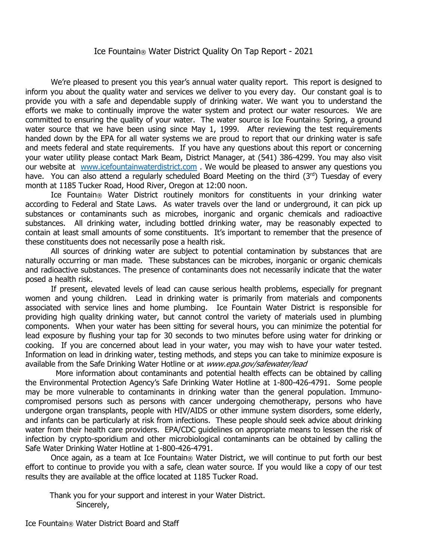## Ice Fountain® Water District Quality On Tap Report - 2021

We're pleased to present you this year's annual water quality report. This report is designed to inform you about the quality water and services we deliver to you every day. Our constant goal is to provide you with a safe and dependable supply of drinking water. We want you to understand the efforts we make to continually improve the water system and protect our water resources. We are committed to ensuring the quality of your water. The water source is Ice Fountain® Spring, a ground water source that we have been using since May 1, 1999. After reviewing the test requirements handed down by the EPA for all water systems we are proud to report that our drinking water is safe and meets federal and state requirements. If you have any questions about this report or concerning your water utility please contact Mark Beam, District Manager, at (541) 386-4299. You may also visit our website at [www.icefountainwaterdistrict.com](http://www.icefountainwaterdistrict.com/). We would be pleased to answer any questions you have. You can also attend a regularly scheduled Board Meeting on the third (3rd) Tuesday of every month at 1185 Tucker Road, Hood River, Oregon at 12:00 noon.

Ice Fountain® Water District routinely monitors for constituents in your drinking water according to Federal and State Laws. As water travels over the land or underground, it can pick up substances or contaminants such as microbes, inorganic and organic chemicals and radioactive substances. All drinking water, including bottled drinking water, may be reasonably expected to contain at least small amounts of some constituents. It's important to remember that the presence of these constituents does not necessarily pose a health risk.

All sources of drinking water are subject to potential contamination by substances that are naturally occurring or man made. These substances can be microbes, inorganic or organic chemicals and radioactive substances. The presence of contaminants does not necessarily indicate that the water posed a health risk.

If present, elevated levels of lead can cause serious health problems, especially for pregnant women and young children. Lead in drinking water is primarily from materials and components associated with service lines and home plumbing. Ice Fountain Water District is responsible for providing high quality drinking water, but cannot control the variety of materials used in plumbing components. When your water has been sitting for several hours, you can minimize the potential for lead exposure by flushing your tap for 30 seconds to two minutes before using water for drinking or cooking. If you are concerned about lead in your water, you may wish to have your water tested. Information on lead in drinking water, testing methods, and steps you can take to minimize exposure is available from the Safe Drinking Water Hotline or at www.epa.gov/safewater/lead

 More information about contaminants and potential health effects can be obtained by calling the Environmental Protection Agency's Safe Drinking Water Hotline at 1-800-426-4791. Some people may be more vulnerable to contaminants in drinking water than the general population. Immunocompromised persons such as persons with cancer undergoing chemotherapy, persons who have undergone organ transplants, people with HIV/AIDS or other immune system disorders, some elderly, and infants can be particularly at risk from infections. These people should seek advice about drinking water from their health care providers. EPA/CDC guidelines on appropriate means to lessen the risk of infection by crypto-sporidium and other microbiological contaminants can be obtained by calling the Safe Water Drinking Water Hotline at 1-800-426-4791.

Once again, as a team at Ice Fountain® Water District, we will continue to put forth our best effort to continue to provide you with a safe, clean water source. If you would like a copy of our test results they are available at the office located at 1185 Tucker Road.

 Thank you for your support and interest in your Water District. Sincerely,

Ice Fountain® Water District Board and Staff